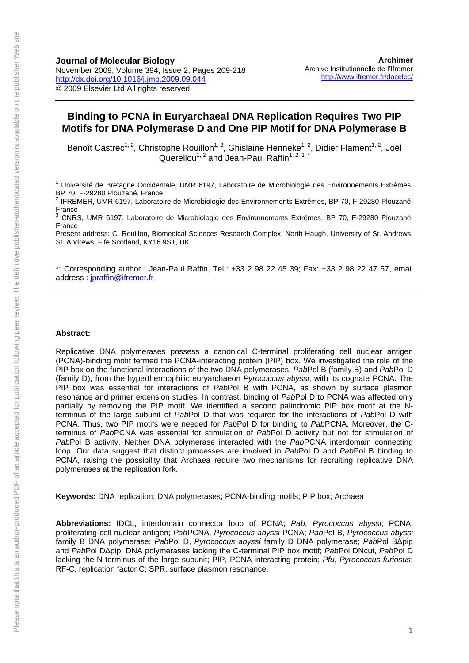#### **Binding to PCNA in Euryarchaeal DNA Replication Requires Two PIP Motifs for DNA Polymerase D and One PIP Motif for DNA Polymerase B**

Benoît Castrec<sup>1, 2</sup>, Christophe Rouillon<sup>1, 2</sup>, Ghislaine Henneke<sup>1, 2</sup>, Didier Flament<sup>1, 2</sup>, Joël Querellou<sup>1, 2</sup> and Jean-Paul Raffin<sup>1, 2, 3,  $*$ </sup>

<sup>1</sup> Université de Bretagne Occidentale, UMR 6197, Laboratoire de Microbiologie des Environnements Extrêmes, BP 70, F-29280 Plouzané, France

2 IFREMER, UMR 6197, Laboratoire de Microbiologie des Environnements Extrêmes, BP 70, F-29280 Plouzané, France<br><sup>3</sup> CNDS

 CNRS, UMR 6197, Laboratoire de Microbiologie des Environnements Extrêmes, BP 70, F-29280 Plouzané, France

Present address: C. Rouillon, Biomedical Sciences Research Complex, North Haugh, University of St. Andrews, St. Andrews, Fife Scotland, KY16 9ST, UK.

\*: Corresponding author : Jean-Paul Raffin, Tel.: +33 2 98 22 45 39; Fax: +33 2 98 22 47 57, email address : [jpraffin@ifremer.fr](mailto:jpraffin@ifremer.fr)

#### **Abstract:**

Replicative DNA polymerases possess a canonical C-terminal proliferating cell nuclear antigen (PCNA)-binding motif termed the PCNA-interacting protein (PIP) box. We investigated the role of the PIP box on the functional interactions of the two DNA polymerases, *Pab*Pol B (family B) and *Pab*Pol D (family D), from the hyperthermophilic euryarchaeon *Pyrococcus abyssi*, with its cognate PCNA. The PIP box was essential for interactions of *Pab*Pol B with PCNA, as shown by surface plasmon resonance and primer extension studies. In contrast, binding of *Pab*Pol D to PCNA was affected only partially by removing the PIP motif. We identified a second palindromic PIP box motif at the Nterminus of the large subunit of *Pab*Pol D that was required for the interactions of *Pab*Pol D with PCNA. Thus, two PIP motifs were needed for *Pab*Pol D for binding to *Pab*PCNA. Moreover, the Cterminus of *Pab*PCNA was essential for stimulation of *Pab*Pol D activity but not for stimulation of *Pab*Pol B activity. Neither DNA polymerase interacted with the *Pab*PCNA interdomain connecting loop. Our data suggest that distinct processes are involved in *Pab*Pol D and *Pab*Pol B binding to PCNA, raising the possibility that Archaea require two mechanisms for recruiting replicative DNA polymerases at the replication fork.

**Keywords:** DNA replication; DNA polymerases; PCNA-binding motifs; PIP box; Archaea

**Abbreviations:** IDCL, interdomain connector loop of PCNA; *Pab*, *Pyrococcus abyssi*; PCNA, proliferating cell nuclear antigen; *Pab*PCNA, *Pyrococcus abyssi* PCNA; *Pab*Pol B, *Pyrococcus abyssi* family B DNA polymerase; *Pab*Pol D, *Pyrococcus abyssi* family D DNA polymerase; *Pab*Pol BΔpip and *Pab*Pol DΔpip, DNA polymerases lacking the C-terminal PIP box motif; *Pab*Pol DNcut, *Pab*Pol D lacking the N-terminus of the large subunit; PIP, PCNA-interacting protein; *Pfu*, *Pyrococcus furiosus*; RF-C, replication factor C; SPR, surface plasmon resonance.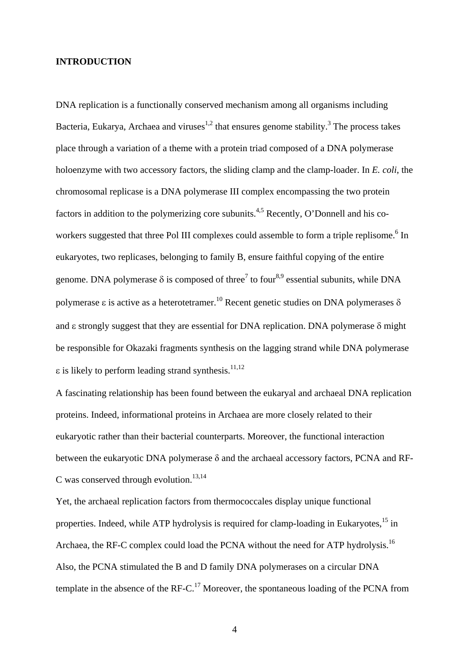#### **INTRODUCTION**

DNA replication is a functionally conserved mechanism among all organisms including Bacteria, Eukarya, Archaea and viruses<sup>1,2</sup> that ensures genome stability.<sup>3</sup> The process takes place through a variation of a theme with a protein triad composed of a DNA polymerase holoenzyme with two accessory factors, the sliding clamp and the clamp-loader. In *E. coli*, the chromosomal replicase is a DNA polymerase III complex encompassing the two protein factors in addition to the polymerizing core subunits.<sup>4,5</sup> Recently, O'Donnell and his coworkers suggested that three Pol III complexes could assemble to form a triple replisome.<sup>6</sup> In eukaryotes, two replicases, belonging to family B, ensure faithful copying of the entire genome. DNA polymerase  $\delta$  is composed of three<sup>7</sup> to four<sup>8,9</sup> essential subunits, while DNA polymerase ε is active as a heterotetramer.<sup>10</sup> Recent genetic studies on DNA polymerases δ and  $\varepsilon$  strongly suggest that they are essential for DNA replication. DNA polymerase  $\delta$  might be responsible for Okazaki fragments synthesis on the lagging strand while DNA polymerase ε is likely to perform leading strand synthesis.<sup>11,12</sup>

A fascinating relationship has been found between the eukaryal and archaeal DNA replication proteins. Indeed, informational proteins in Archaea are more closely related to their eukaryotic rather than their bacterial counterparts. Moreover, the functional interaction between the eukaryotic DNA polymerase  $\delta$  and the archaeal accessory factors, PCNA and RF-C was conserved through evolution. $13,14$ 

Yet, the archaeal replication factors from thermococcales display unique functional properties. Indeed, while ATP hydrolysis is required for clamp-loading in Eukaryotes,<sup>15</sup> in Archaea, the RF-C complex could load the PCNA without the need for ATP hydrolysis.<sup>16</sup> Also, the PCNA stimulated the B and D family DNA polymerases on a circular DNA template in the absence of the RF-C.<sup>17</sup> Moreover, the spontaneous loading of the PCNA from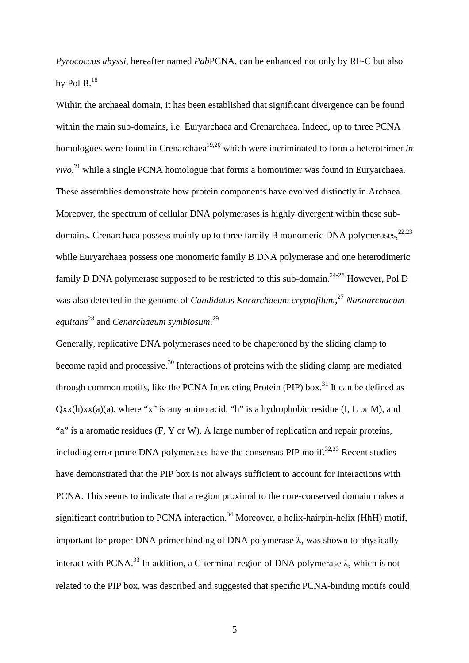*Pyrococcus abyssi*, hereafter named *Pab*PCNA, can be enhanced not only by RF-C but also by Pol B. $^{18}$ 

Within the archaeal domain, it has been established that significant divergence can be found within the main sub-domains, i.e. Euryarchaea and Crenarchaea. Indeed, up to three PCNA homologues were found in Crenarchaea<sup>19,20</sup> which were incriminated to form a heterotrimer *in*  $vivo<sub>1</sub><sup>21</sup>$  while a single PCNA homologue that forms a homotrimer was found in Euryarchaea. These assemblies demonstrate how protein components have evolved distinctly in Archaea. Moreover, the spectrum of cellular DNA polymerases is highly divergent within these subdomains. Crenarchaea possess mainly up to three family B monomeric DNA polymerases,  $22,23$ while Euryarchaea possess one monomeric family B DNA polymerase and one heterodimeric family D DNA polymerase supposed to be restricted to this sub-domain.<sup>24-26</sup> However, Pol D was also detected in the genome of *Candidatus Korarchaeum cryptofilum*, <sup>27</sup> *Nanoarchaeum equitans*28 and *Cenarchaeum symbiosum*. 29

Generally, replicative DNA polymerases need to be chaperoned by the sliding clamp to become rapid and processive. $30$  Interactions of proteins with the sliding clamp are mediated through common motifs, like the PCNA Interacting Protein (PIP) box.<sup>31</sup> It can be defined as  $Qxx(h)xx(a)(a)$ , where "x" is any amino acid, "h" is a hydrophobic residue (I, L or M), and "a" is a aromatic residues (F, Y or W). A large number of replication and repair proteins, including error prone DNA polymerases have the consensus PIP motif.<sup>32,33</sup> Recent studies have demonstrated that the PIP box is not always sufficient to account for interactions with PCNA. This seems to indicate that a region proximal to the core-conserved domain makes a significant contribution to PCNA interaction.<sup>34</sup> Moreover, a helix-hairpin-helix (HhH) motif, important for proper DNA primer binding of DNA polymerase  $\lambda$ , was shown to physically interact with PCNA.<sup>33</sup> In addition, a C-terminal region of DNA polymerase  $\lambda$ , which is not related to the PIP box, was described and suggested that specific PCNA-binding motifs could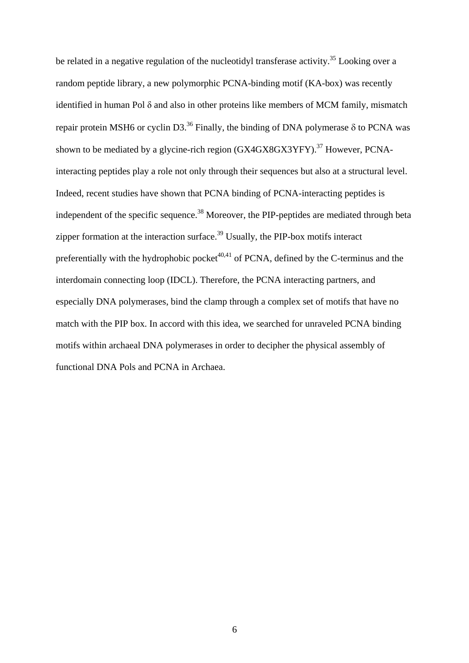be related in a negative regulation of the nucleotidyl transferase activity.<sup>35</sup> Looking over a random peptide library, a new polymorphic PCNA-binding motif (KA-box) was recently identified in human Pol δ and also in other proteins like members of MCM family, mismatch repair protein MSH6 or cyclin D3.<sup>36</sup> Finally, the binding of DNA polymerase δ to PCNA was shown to be mediated by a glycine-rich region  $(GX4GX8GX3YFY)$ .<sup>37</sup> However, PCNAinteracting peptides play a role not only through their sequences but also at a structural level. Indeed, recent studies have shown that PCNA binding of PCNA-interacting peptides is independent of the specific sequence.<sup>38</sup> Moreover, the PIP-peptides are mediated through beta zipper formation at the interaction surface.<sup>39</sup> Usually, the PIP-box motifs interact preferentially with the hydrophobic pocket<sup> $40,41$ </sup> of PCNA, defined by the C-terminus and the interdomain connecting loop (IDCL). Therefore, the PCNA interacting partners, and especially DNA polymerases, bind the clamp through a complex set of motifs that have no match with the PIP box. In accord with this idea, we searched for unraveled PCNA binding motifs within archaeal DNA polymerases in order to decipher the physical assembly of functional DNA Pols and PCNA in Archaea.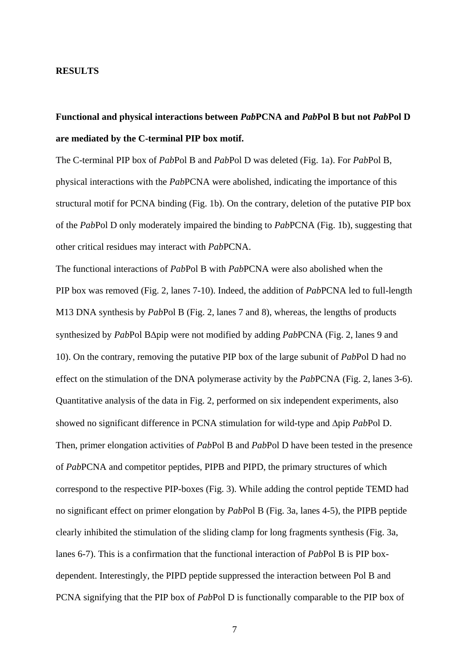#### **RESULTS**

## **Functional and physical interactions between** *Pab***PCNA and** *Pab***Pol B but not** *Pab***Pol D are mediated by the C-terminal PIP box motif.**

The C-terminal PIP box of *Pab*Pol B and *Pab*Pol D was deleted (Fig. 1a). For *Pab*Pol B, physical interactions with the *Pab*PCNA were abolished, indicating the importance of this structural motif for PCNA binding (Fig. 1b). On the contrary, deletion of the putative PIP box of the *Pab*Pol D only moderately impaired the binding to *Pab*PCNA (Fig. 1b), suggesting that other critical residues may interact with *Pab*PCNA.

The functional interactions of *Pab*Pol B with *Pab*PCNA were also abolished when the PIP box was removed (Fig. 2, lanes 7-10). Indeed, the addition of *Pab*PCNA led to full-length M13 DNA synthesis by *Pab*Pol B (Fig. 2, lanes 7 and 8), whereas, the lengths of products synthesized by *Pab*Pol B∆pip were not modified by adding *Pab*PCNA (Fig. 2, lanes 9 and 10). On the contrary, removing the putative PIP box of the large subunit of *Pab*Pol D had no effect on the stimulation of the DNA polymerase activity by the *Pab*PCNA (Fig. 2, lanes 3-6). Quantitative analysis of the data in Fig. 2, performed on six independent experiments, also showed no significant difference in PCNA stimulation for wild-type and ∆pip *Pab*Pol D. Then, primer elongation activities of *Pab*Pol B and *Pab*Pol D have been tested in the presence of *Pab*PCNA and competitor peptides, PIPB and PIPD, the primary structures of which correspond to the respective PIP-boxes (Fig. 3). While adding the control peptide TEMD had no significant effect on primer elongation by *Pab*Pol B (Fig. 3a, lanes 4-5), the PIPB peptide clearly inhibited the stimulation of the sliding clamp for long fragments synthesis (Fig. 3a, lanes 6-7). This is a confirmation that the functional interaction of *Pab*Pol B is PIP boxdependent. Interestingly, the PIPD peptide suppressed the interaction between Pol B and PCNA signifying that the PIP box of *Pab*Pol D is functionally comparable to the PIP box of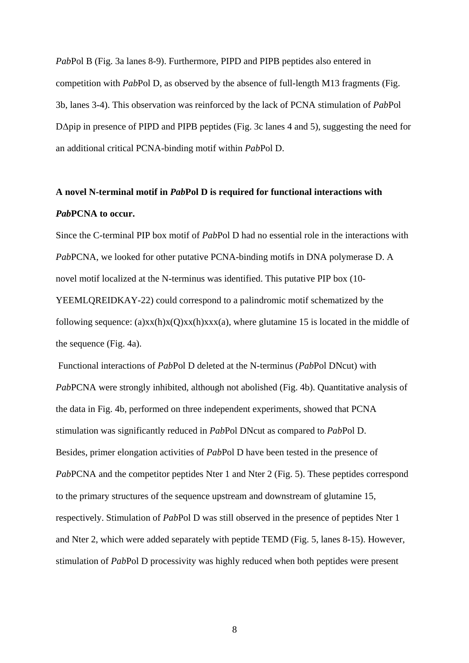*Pab*Pol B (Fig. 3a lanes 8-9). Furthermore, PIPD and PIPB peptides also entered in competition with *Pab*Pol D, as observed by the absence of full-length M13 fragments (Fig. 3b, lanes 3-4). This observation was reinforced by the lack of PCNA stimulation of *Pab*Pol D∆pip in presence of PIPD and PIPB peptides (Fig. 3c lanes 4 and 5), suggesting the need for an additional critical PCNA-binding motif within *Pab*Pol D.

## **A novel N-terminal motif in** *Pab***Pol D is required for functional interactions with**  *Pab***PCNA to occur.**

Since the C-terminal PIP box motif of *Pab*Pol D had no essential role in the interactions with *Pab*PCNA, we looked for other putative PCNA-binding motifs in DNA polymerase D. A novel motif localized at the N-terminus was identified. This putative PIP box (10- YEEMLQREIDKAY-22) could correspond to a palindromic motif schematized by the following sequence: (a) $xx(h)x(Q)xx(h)xxx(a)$ , where glutamine 15 is located in the middle of the sequence (Fig. 4a).

 Functional interactions of *Pab*Pol D deleted at the N-terminus (*Pab*Pol DNcut) with *Pab*PCNA were strongly inhibited, although not abolished (Fig. 4b). Quantitative analysis of the data in Fig. 4b, performed on three independent experiments, showed that PCNA stimulation was significantly reduced in *Pab*Pol DNcut as compared to *Pab*Pol D. Besides, primer elongation activities of *Pab*Pol D have been tested in the presence of *PabPCNA* and the competitor peptides Nter 1 and Nter 2 (Fig. 5). These peptides correspond to the primary structures of the sequence upstream and downstream of glutamine 15, respectively. Stimulation of *Pab*Pol D was still observed in the presence of peptides Nter 1 and Nter 2, which were added separately with peptide TEMD (Fig. 5, lanes 8-15). However, stimulation of *Pab*Pol D processivity was highly reduced when both peptides were present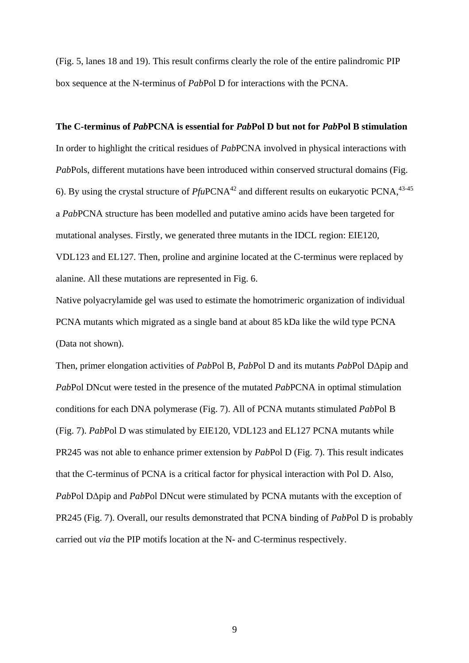(Fig. 5, lanes 18 and 19). This result confirms clearly the role of the entire palindromic PIP box sequence at the N-terminus of *Pab*Pol D for interactions with the PCNA.

#### **The C-terminus of** *Pab***PCNA is essential for** *Pab***Pol D but not for** *Pab***Pol B stimulation**

In order to highlight the critical residues of *Pab*PCNA involved in physical interactions with *Pab*Pols, different mutations have been introduced within conserved structural domains (Fig. 6). By using the crystal structure of  $PfuPCNA<sup>42</sup>$  and different results on eukaryotic PCNA,  $43-45$ a *Pab*PCNA structure has been modelled and putative amino acids have been targeted for mutational analyses. Firstly, we generated three mutants in the IDCL region: EIE120, VDL123 and EL127. Then, proline and arginine located at the C-terminus were replaced by alanine. All these mutations are represented in Fig. 6.

Native polyacrylamide gel was used to estimate the homotrimeric organization of individual PCNA mutants which migrated as a single band at about 85 kDa like the wild type PCNA (Data not shown).

Then, primer elongation activities of *Pab*Pol B, *Pab*Pol D and its mutants *Pab*Pol D∆pip and *Pab*Pol DNcut were tested in the presence of the mutated *Pab*PCNA in optimal stimulation conditions for each DNA polymerase (Fig. 7). All of PCNA mutants stimulated *Pab*Pol B (Fig. 7). *Pab*Pol D was stimulated by EIE120, VDL123 and EL127 PCNA mutants while PR245 was not able to enhance primer extension by *Pab*Pol D (Fig. 7). This result indicates that the C-terminus of PCNA is a critical factor for physical interaction with Pol D. Also, *Pab*Pol D∆pip and *Pab*Pol DNcut were stimulated by PCNA mutants with the exception of PR245 (Fig. 7). Overall, our results demonstrated that PCNA binding of *Pab*Pol D is probably carried out *via* the PIP motifs location at the N- and C-terminus respectively.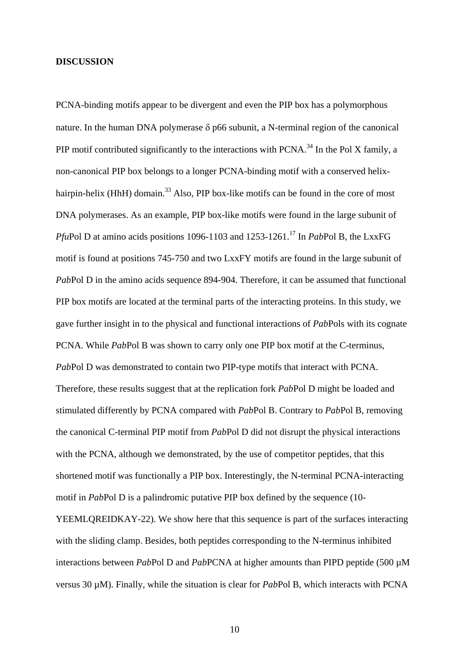#### **DISCUSSION**

PCNA-binding motifs appear to be divergent and even the PIP box has a polymorphous nature. In the human DNA polymerase  $\delta$  p66 subunit, a N-terminal region of the canonical PIP motif contributed significantly to the interactions with  $PCNA$ <sup>34</sup>. In the Pol X family, a non-canonical PIP box belongs to a longer PCNA-binding motif with a conserved helixhairpin-helix (HhH) domain.<sup>33</sup> Also, PIP box-like motifs can be found in the core of most DNA polymerases. As an example, PIP box-like motifs were found in the large subunit of *PfuPol D at amino acids positions 1096-1103 and 1253-1261.*<sup>17</sup> In *PabPol B*, the LxxFG motif is found at positions 745-750 and two LxxFY motifs are found in the large subunit of *Pab*Pol D in the amino acids sequence 894-904. Therefore, it can be assumed that functional PIP box motifs are located at the terminal parts of the interacting proteins. In this study, we gave further insight in to the physical and functional interactions of *Pab*Pols with its cognate PCNA. While *Pab*Pol B was shown to carry only one PIP box motif at the C-terminus, *Pab*Pol D was demonstrated to contain two PIP-type motifs that interact with PCNA. Therefore, these results suggest that at the replication fork *Pab*Pol D might be loaded and stimulated differently by PCNA compared with *Pab*Pol B. Contrary to *Pab*Pol B, removing the canonical C-terminal PIP motif from *Pab*Pol D did not disrupt the physical interactions with the PCNA, although we demonstrated, by the use of competitor peptides, that this shortened motif was functionally a PIP box. Interestingly, the N-terminal PCNA-interacting motif in *Pab*Pol D is a palindromic putative PIP box defined by the sequence (10- YEEMLQREIDKAY-22). We show here that this sequence is part of the surfaces interacting with the sliding clamp. Besides, both peptides corresponding to the N-terminus inhibited interactions between *Pab*Pol D and *Pab*PCNA at higher amounts than PIPD peptide (500 µM versus 30 µM). Finally, while the situation is clear for *Pab*Pol B, which interacts with PCNA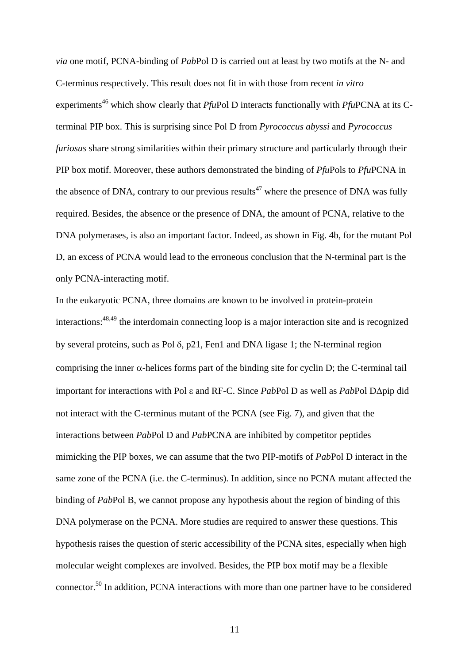*via* one motif, PCNA-binding of *Pab*Pol D is carried out at least by two motifs at the N- and C-terminus respectively. This result does not fit in with those from recent *in vitro* experiments<sup>46</sup> which show clearly that *PfuPol D* interacts functionally with *PfuPCNA* at its Cterminal PIP box. This is surprising since Pol D from *Pyrococcus abyssi* and *Pyrococcus furiosus* share strong similarities within their primary structure and particularly through their PIP box motif. Moreover, these authors demonstrated the binding of *Pfu*Pols to *Pfu*PCNA in the absence of DNA, contrary to our previous results<sup>47</sup> where the presence of DNA was fully required. Besides, the absence or the presence of DNA, the amount of PCNA, relative to the DNA polymerases, is also an important factor. Indeed, as shown in Fig. 4b, for the mutant Pol D, an excess of PCNA would lead to the erroneous conclusion that the N-terminal part is the only PCNA-interacting motif.

In the eukaryotic PCNA, three domains are known to be involved in protein-protein interactions:48,49 the interdomain connecting loop is a major interaction site and is recognized by several proteins, such as Pol δ, p21, Fen1 and DNA ligase 1; the N-terminal region comprising the inner  $\alpha$ -helices forms part of the binding site for cyclin D; the C-terminal tail important for interactions with Pol ε and RF-C. Since *Pab*Pol D as well as *Pab*Pol D∆pip did not interact with the C-terminus mutant of the PCNA (see Fig. 7), and given that the interactions between *Pab*Pol D and *Pab*PCNA are inhibited by competitor peptides mimicking the PIP boxes, we can assume that the two PIP-motifs of *Pab*Pol D interact in the same zone of the PCNA (i.e. the C-terminus). In addition, since no PCNA mutant affected the binding of *Pab*Pol B, we cannot propose any hypothesis about the region of binding of this DNA polymerase on the PCNA. More studies are required to answer these questions. This hypothesis raises the question of steric accessibility of the PCNA sites, especially when high molecular weight complexes are involved. Besides, the PIP box motif may be a flexible connector.50 In addition, PCNA interactions with more than one partner have to be considered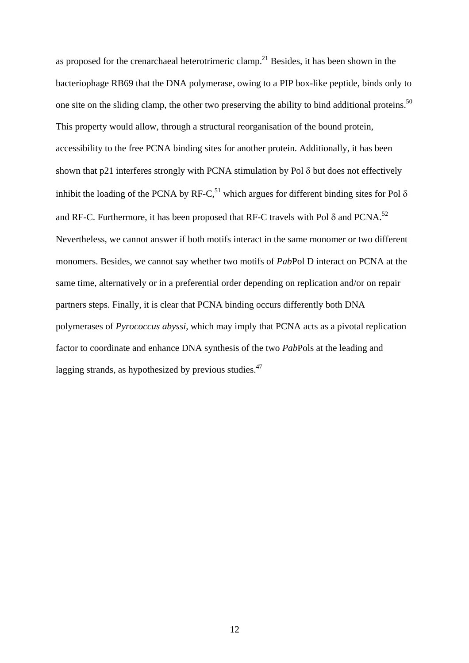as proposed for the crenarchaeal heterotrimeric clamp.<sup>21</sup> Besides, it has been shown in the bacteriophage RB69 that the DNA polymerase, owing to a PIP box-like peptide, binds only to one site on the sliding clamp, the other two preserving the ability to bind additional proteins.<sup>50</sup> This property would allow, through a structural reorganisation of the bound protein, accessibility to the free PCNA binding sites for another protein. Additionally, it has been shown that p21 interferes strongly with PCNA stimulation by Pol δ but does not effectively inhibit the loading of the PCNA by RF-C,<sup>51</sup> which argues for different binding sites for Pol  $\delta$ and RF-C. Furthermore, it has been proposed that RF-C travels with Pol  $\delta$  and PCNA.<sup>52</sup> Nevertheless, we cannot answer if both motifs interact in the same monomer or two different monomers. Besides, we cannot say whether two motifs of *Pab*Pol D interact on PCNA at the same time, alternatively or in a preferential order depending on replication and/or on repair partners steps. Finally, it is clear that PCNA binding occurs differently both DNA polymerases of *Pyrococcus abyssi*, which may imply that PCNA acts as a pivotal replication factor to coordinate and enhance DNA synthesis of the two *Pab*Pols at the leading and lagging strands, as hypothesized by previous studies.<sup>47</sup>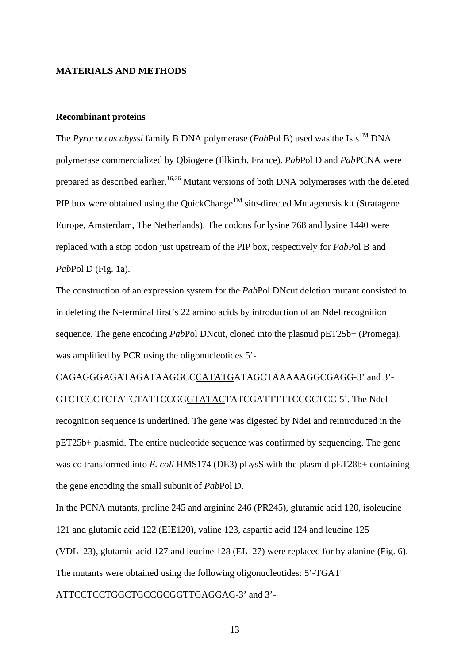#### **MATERIALS AND METHODS**

#### **Recombinant proteins**

The *Pyrococcus abyssi* family B DNA polymerase (*PabPol B*) used was the Isis<sup>TM</sup> DNA polymerase commercialized by Qbiogene (Illkirch, France). *Pab*Pol D and *Pab*PCNA were prepared as described earlier.<sup>16,26</sup> Mutant versions of both DNA polymerases with the deleted PIP box were obtained using the QuickChange<sup>TM</sup> site-directed Mutagenesis kit (Stratagene Europe, Amsterdam, The Netherlands). The codons for lysine 768 and lysine 1440 were replaced with a stop codon just upstream of the PIP box, respectively for *Pab*Pol B and *Pab*Pol D (Fig. 1a).

The construction of an expression system for the *Pab*Pol DNcut deletion mutant consisted to in deleting the N-terminal first's 22 amino acids by introduction of an NdeI recognition sequence. The gene encoding *Pab*Pol DNcut, cloned into the plasmid pET25b+ (Promega), was amplified by PCR using the oligonucleotides 5'-

CAGAGGGAGATAGATAAGGCCCATATGATAGCTAAAAAGGCGAGG-3' and 3'- GTCTCCCTCTATCTATTCCGGGTATACTATCGATTTTTCCGCTCC-5'. The NdeI recognition sequence is underlined. The gene was digested by NdeI and reintroduced in the pET25b+ plasmid. The entire nucleotide sequence was confirmed by sequencing. The gene was co transformed into *E. coli* HMS174 (DE3) pLysS with the plasmid pET28b+ containing the gene encoding the small subunit of *Pab*Pol D.

In the PCNA mutants, proline 245 and arginine 246 (PR245), glutamic acid 120, isoleucine 121 and glutamic acid 122 (EIE120), valine 123, aspartic acid 124 and leucine 125 (VDL123), glutamic acid 127 and leucine 128 (EL127) were replaced for by alanine (Fig. 6). The mutants were obtained using the following oligonucleotides: 5'-TGAT

ATTCCTCCTGGCTGCCGCGGTTGAGGAG-3' and 3'-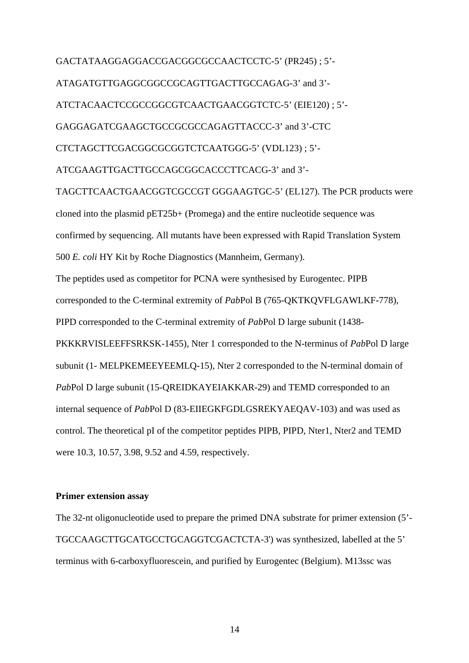GACTATAAGGAGGACCGACGGCGCCAACTCCTC-5' (PR245) ; 5'-

ATAGATGTTGAGGCGGCCGCAGTTGACTTGCCAGAG-3' and 3'-

ATCTACAACTCCGCCGGCGTCAACTGAACGGTCTC-5' (EIE120) ; 5'-

GAGGAGATCGAAGCTGCCGCGCCAGAGTTACCC-3' and 3'-CTC

CTCTAGCTTCGACGGCGCGGTCTCAATGGG-5' (VDL123) ; 5'-

ATCGAAGTTGACTTGCCAGCGGCACCCTTCACG-3' and 3'-

TAGCTTCAACTGAACGGTCGCCGT GGGAAGTGC-5' (EL127). The PCR products were cloned into the plasmid pET25b+ (Promega) and the entire nucleotide sequence was confirmed by sequencing. All mutants have been expressed with Rapid Translation System 500 *E. coli* HY Kit by Roche Diagnostics (Mannheim, Germany). The peptides used as competitor for PCNA were synthesised by Eurogentec. PIPB corresponded to the C-terminal extremity of *Pab*Pol B (765-QKTKQVFLGAWLKF-778), PIPD corresponded to the C-terminal extremity of *Pab*Pol D large subunit (1438- PKKKRVISLEEFFSRKSK-1455), Nter 1 corresponded to the N-terminus of *Pab*Pol D large subunit (1- MELPKEMEEYEEMLQ-15), Nter 2 corresponded to the N-terminal domain of *Pab*Pol D large subunit (15-QREIDKAYEIAKKAR-29) and TEMD corresponded to an internal sequence of *Pab*Pol D (83-EIIEGKFGDLGSREKYAEQAV-103) and was used as control. The theoretical pI of the competitor peptides PIPB, PIPD, Nter1, Nter2 and TEMD were 10.3, 10.57, 3.98, 9.52 and 4.59, respectively.

#### **Primer extension assay**

The 32-nt oligonucleotide used to prepare the primed DNA substrate for primer extension (5'- TGCCAAGCTTGCATGCCTGCAGGTCGACTCTA-3') was synthesized, labelled at the 5' terminus with 6-carboxyfluorescein, and purified by Eurogentec (Belgium). M13ssc was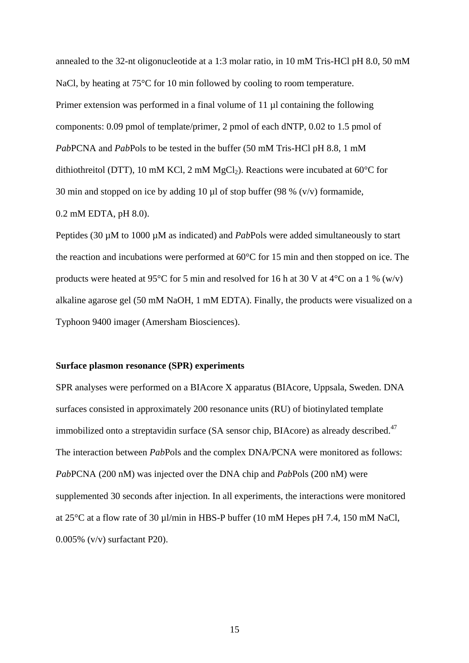annealed to the 32-nt oligonucleotide at a 1:3 molar ratio, in 10 mM Tris-HCl pH 8.0, 50 mM NaCl, by heating at 75<sup>o</sup>C for 10 min followed by cooling to room temperature. Primer extension was performed in a final volume of 11  $\mu$ l containing the following components: 0.09 pmol of template/primer, 2 pmol of each dNTP, 0.02 to 1.5 pmol of *Pab*PCNA and *Pab*Pols to be tested in the buffer (50 mM Tris-HCl pH 8.8, 1 mM dithiothreitol (DTT), 10 mM KCl, 2 mM MgCl<sub>2</sub>). Reactions were incubated at 60 $^{\circ}$ C for 30 min and stopped on ice by adding 10  $\mu$ l of stop buffer (98 % (v/v) formamide, 0.2 mM EDTA, pH 8.0).

Peptides (30 µM to 1000 µM as indicated) and *Pab*Pols were added simultaneously to start the reaction and incubations were performed at 60°C for 15 min and then stopped on ice. The products were heated at 95 $\degree$ C for 5 min and resolved for 16 h at 30 V at 4 $\degree$ C on a 1 % (w/v) alkaline agarose gel (50 mM NaOH, 1 mM EDTA). Finally, the products were visualized on a Typhoon 9400 imager (Amersham Biosciences).

#### **Surface plasmon resonance (SPR) experiments**

SPR analyses were performed on a BIAcore X apparatus (BIAcore, Uppsala, Sweden. DNA surfaces consisted in approximately 200 resonance units (RU) of biotinylated template immobilized onto a streptavidin surface (SA sensor chip, BIAcore) as already described.<sup>47</sup> The interaction between *Pab*Pols and the complex DNA/PCNA were monitored as follows: *Pab*PCNA (200 nM) was injected over the DNA chip and *Pab*Pols (200 nM) were supplemented 30 seconds after injection. In all experiments, the interactions were monitored at 25°C at a flow rate of 30 µl/min in HBS-P buffer (10 mM Hepes pH 7.4, 150 mM NaCl, 0.005% (v/v) surfactant P20).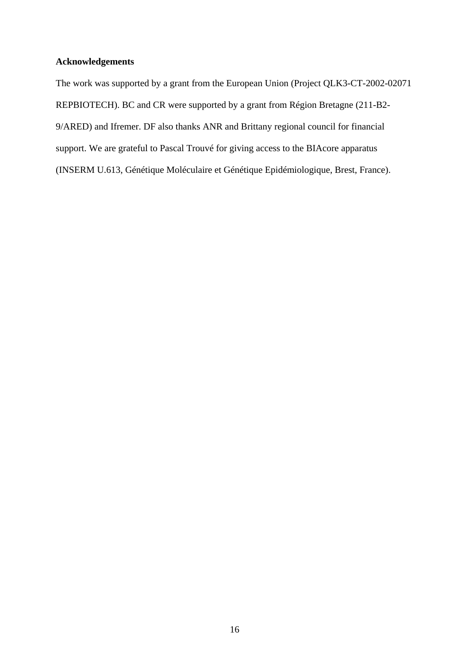### **Acknowledgements**

The work was supported by a grant from the European Union (Project QLK3-CT-2002-02071 REPBIOTECH). BC and CR were supported by a grant from Région Bretagne (211-B2- 9/ARED) and Ifremer. DF also thanks ANR and Brittany regional council for financial support. We are grateful to Pascal Trouvé for giving access to the BIAcore apparatus (INSERM U.613, Génétique Moléculaire et Génétique Epidémiologique, Brest, France).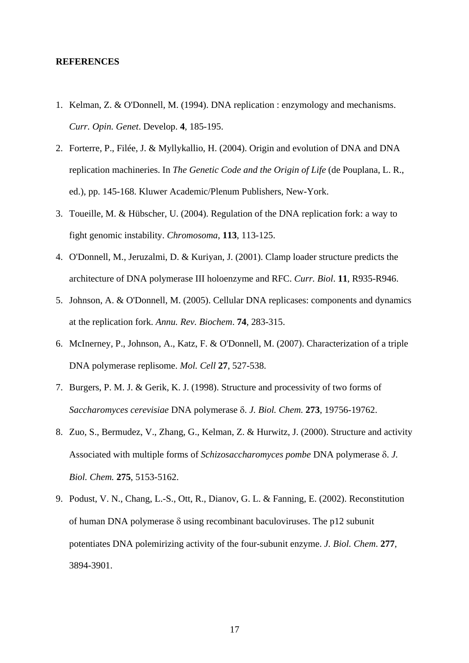#### **REFERENCES**

- 1. Kelman, Z. & O'Donnell, M. (1994). DNA replication : enzymology and mechanisms. *Curr. Opin. Genet*. Develop. **4**, 185-195.
- 2. Forterre, P., Filée, J. & Myllykallio, H. (2004). Origin and evolution of DNA and DNA replication machineries. In *The Genetic Code and the Origin of Life* (de Pouplana, L. R., ed.), pp. 145-168. Kluwer Academic/Plenum Publishers, New-York.
- 3. Toueille, M. & Hübscher, U. (2004). Regulation of the DNA replication fork: a way to fight genomic instability. *Chromosoma*, **113**, 113-125.
- 4. O'Donnell, M., Jeruzalmi, D. & Kuriyan, J. (2001). Clamp loader structure predicts the architecture of DNA polymerase III holoenzyme and RFC. *Curr. Biol*. **11**, R935-R946.
- 5. Johnson, A. & O'Donnell, M. (2005). Cellular DNA replicases: components and dynamics at the replication fork. *Annu. Rev. Biochem*. **74**, 283-315.
- 6. McInerney, P., Johnson, A., Katz, F. & O'Donnell, M. (2007). Characterization of a triple DNA polymerase replisome. *Mol. Cell* **27**, 527-538.
- 7. Burgers, P. M. J. & Gerik, K. J. (1998). Structure and processivity of two forms of *Saccharomyces cerevisiae* DNA polymerase δ. *J. Biol. Chem.* **273**, 19756-19762.
- 8. Zuo, S., Bermudez, V., Zhang, G., Kelman, Z. & Hurwitz, J. (2000). Structure and activity Associated with multiple forms of *Schizosaccharomyces pombe* DNA polymerase δ. *J. Biol. Chem.* **275**, 5153-5162.
- 9. Podust, V. N., Chang, L.-S., Ott, R., Dianov, G. L. & Fanning, E. (2002). Reconstitution of human DNA polymerase δ using recombinant baculoviruses. The p12 subunit potentiates DNA polemirizing activity of the four-subunit enzyme. *J. Biol. Chem*. **277**, 3894-3901.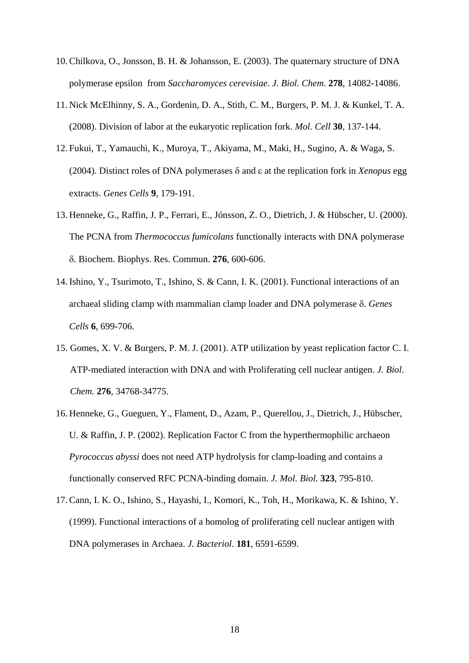- 10. Chilkova, O., Jonsson, B. H. & Johansson, E. (2003). The quaternary structure of DNA polymerase epsilon from *Saccharomyces cerevisiae*. *J. Biol. Chem*. **278**, 14082-14086.
- 11. Nick McElhinny, S. A., Gordenin, D. A., Stith, C. M., Burgers, P. M. J. & Kunkel, T. A. (2008). Division of labor at the eukaryotic replication fork. *Mol. Cell* **30**, 137-144.
- 12. Fukui, T., Yamauchi, K., Muroya, T., Akiyama, M., Maki, H., Sugino, A. & Waga, S. (2004). Distinct roles of DNA polymerases δ and ε at the replication fork in *Xenopus* egg extracts. *Genes Cells* **9**, 179-191.
- 13. Henneke, G., Raffin, J. P., Ferrari, E., Jónsson, Z. O., Dietrich, J. & Hübscher, U. (2000). The PCNA from *Thermococcus fumicolans* functionally interacts with DNA polymerase δ. Biochem. Biophys. Res. Commun. **276**, 600-606.
- 14. Ishino, Y., Tsurimoto, T., Ishino, S. & Cann, I. K. (2001). Functional interactions of an archaeal sliding clamp with mammalian clamp loader and DNA polymerase δ. *Genes Cells* **6**, 699-706.
- 15. Gomes, X. V. & Burgers, P. M. J. (2001). ATP utilization by yeast replication factor C. I. ATP-mediated interaction with DNA and with Proliferating cell nuclear antigen. *J. Biol. Chem.* **276**, 34768-34775.
- 16. Henneke, G., Gueguen, Y., Flament, D., Azam, P., Querellou, J., Dietrich, J., Hübscher, U. & Raffin, J. P. (2002). Replication Factor C from the hyperthermophilic archaeon *Pyrococcus abyssi* does not need ATP hydrolysis for clamp-loading and contains a functionally conserved RFC PCNA-binding domain. *J. Mol. Biol*. **323**, 795-810.
- 17. Cann, I. K. O., Ishino, S., Hayashi, I., Komori, K., Toh, H., Morikawa, K. & Ishino, Y. (1999). Functional interactions of a homolog of proliferating cell nuclear antigen with DNA polymerases in Archaea. *J. Bacteriol*. **181**, 6591-6599.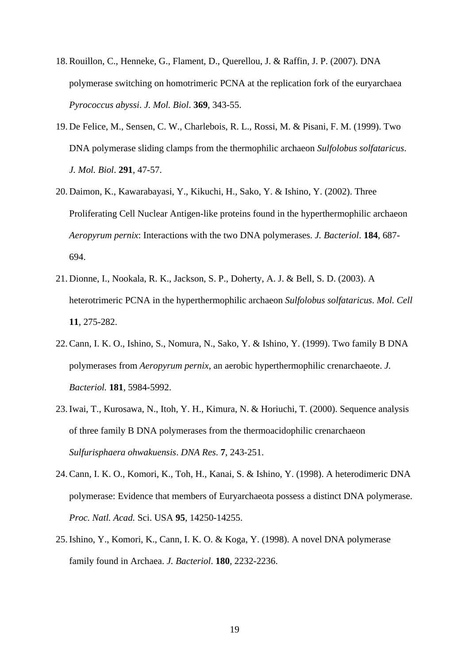- 18. Rouillon, C., Henneke, G., Flament, D., Querellou, J. & Raffin, J. P. (2007). DNA polymerase switching on homotrimeric PCNA at the replication fork of the euryarchaea *Pyrococcus abyssi*. *J. Mol. Biol*. **369**, 343-55.
- 19. De Felice, M., Sensen, C. W., Charlebois, R. L., Rossi, M. & Pisani, F. M. (1999). Two DNA polymerase sliding clamps from the thermophilic archaeon *Sulfolobus solfataricus*. *J. Mol. Biol*. **291**, 47-57.
- 20. Daimon, K., Kawarabayasi, Y., Kikuchi, H., Sako, Y. & Ishino, Y. (2002). Three Proliferating Cell Nuclear Antigen-like proteins found in the hyperthermophilic archaeon *Aeropyrum pernix*: Interactions with the two DNA polymerases. *J. Bacteriol*. **184**, 687- 694.
- 21. Dionne, I., Nookala, R. K., Jackson, S. P., Doherty, A. J. & Bell, S. D. (2003). A heterotrimeric PCNA in the hyperthermophilic archaeon *Sulfolobus solfataricus*. *Mol. Cell* **11**, 275-282.
- 22. Cann, I. K. O., Ishino, S., Nomura, N., Sako, Y. & Ishino, Y. (1999). Two family B DNA polymerases from *Aeropyrum pernix*, an aerobic hyperthermophilic crenarchaeote. *J. Bacteriol.* **181**, 5984-5992.
- 23. Iwai, T., Kurosawa, N., Itoh, Y. H., Kimura, N. & Horiuchi, T. (2000). Sequence analysis of three family B DNA polymerases from the thermoacidophilic crenarchaeon *Sulfurisphaera ohwakuensis*. *DNA Res*. **7**, 243-251.
- 24. Cann, I. K. O., Komori, K., Toh, H., Kanai, S. & Ishino, Y. (1998). A heterodimeric DNA polymerase: Evidence that members of Euryarchaeota possess a distinct DNA polymerase. *Proc. Natl. Acad.* Sci. USA **95**, 14250-14255.
- 25. Ishino, Y., Komori, K., Cann, I. K. O. & Koga, Y. (1998). A novel DNA polymerase family found in Archaea. *J. Bacteriol*. **180**, 2232-2236.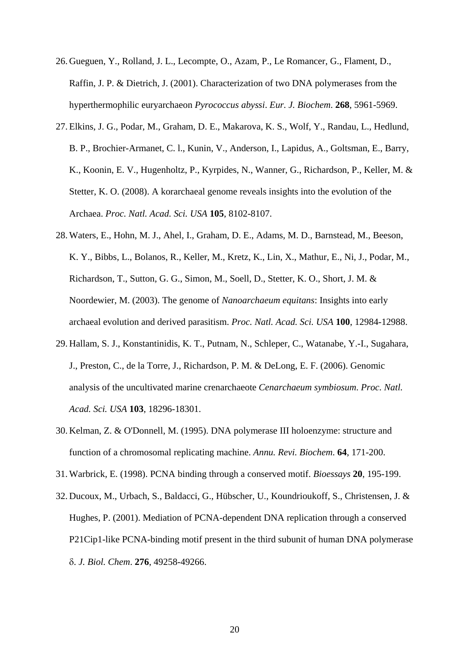- 26. Gueguen, Y., Rolland, J. L., Lecompte, O., Azam, P., Le Romancer, G., Flament, D., Raffin, J. P. & Dietrich, J. (2001). Characterization of two DNA polymerases from the hyperthermophilic euryarchaeon *Pyrococcus abyssi*. *Eur. J. Biochem*. **268**, 5961-5969.
- 27. Elkins, J. G., Podar, M., Graham, D. E., Makarova, K. S., Wolf, Y., Randau, L., Hedlund, B. P., Brochier-Armanet, C. l., Kunin, V., Anderson, I., Lapidus, A., Goltsman, E., Barry, K., Koonin, E. V., Hugenholtz, P., Kyrpides, N., Wanner, G., Richardson, P., Keller, M. & Stetter, K. O. (2008). A korarchaeal genome reveals insights into the evolution of the Archaea. *Proc. Natl. Acad. Sci. USA* **105**, 8102-8107.
- 28. Waters, E., Hohn, M. J., Ahel, I., Graham, D. E., Adams, M. D., Barnstead, M., Beeson, K. Y., Bibbs, L., Bolanos, R., Keller, M., Kretz, K., Lin, X., Mathur, E., Ni, J., Podar, M., Richardson, T., Sutton, G. G., Simon, M., Soell, D., Stetter, K. O., Short, J. M. & Noordewier, M. (2003). The genome of *Nanoarchaeum equitans*: Insights into early archaeal evolution and derived parasitism. *Proc. Natl. Acad. Sci. USA* **100**, 12984-12988.
- 29. Hallam, S. J., Konstantinidis, K. T., Putnam, N., Schleper, C., Watanabe, Y.-I., Sugahara, J., Preston, C., de la Torre, J., Richardson, P. M. & DeLong, E. F. (2006). Genomic analysis of the uncultivated marine crenarchaeote *Cenarchaeum symbiosum*. *Proc. Natl. Acad. Sci. USA* **103**, 18296-18301.
- 30. Kelman, Z. & O'Donnell, M. (1995). DNA polymerase III holoenzyme: structure and function of a chromosomal replicating machine. *Annu. Revi. Biochem*. **64**, 171-200.
- 31. Warbrick, E. (1998). PCNA binding through a conserved motif. *Bioessays* **20**, 195-199.
- 32. Ducoux, M., Urbach, S., Baldacci, G., Hübscher, U., Koundrioukoff, S., Christensen, J. & Hughes, P. (2001). Mediation of PCNA-dependent DNA replication through a conserved P21Cip1-like PCNA-binding motif present in the third subunit of human DNA polymerase δ. *J. Biol. Chem*. **276**, 49258-49266.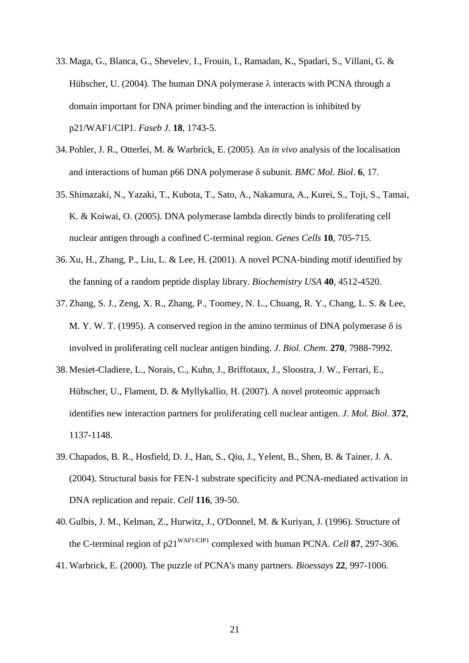- 33. Maga, G., Blanca, G., Shevelev, I., Frouin, I., Ramadan, K., Spadari, S., Villani, G. & Hübscher, U. (2004). The human DNA polymerase  $\lambda$  interacts with PCNA through a domain important for DNA primer binding and the interaction is inhibited by p21/WAF1/CIP1. *Faseb J*. **18**, 1743-5.
- 34. Pohler, J. R., Otterlei, M. & Warbrick, E. (2005). An *in vivo* analysis of the localisation and interactions of human p66 DNA polymerase δ subunit. *BMC Mol. Biol*. **6**, 17.
- 35. Shimazaki, N., Yazaki, T., Kubota, T., Sato, A., Nakamura, A., Kurei, S., Toji, S., Tamai, K. & Koiwai, O. (2005). DNA polymerase lambda directly binds to proliferating cell nuclear antigen through a confined C-terminal region. *Genes Cells* **10**, 705-715.
- 36. Xu, H., Zhang, P., Liu, L. & Lee, H. (2001). A novel PCNA-binding motif identified by the fanning of a random peptide display library. *Biochemistry USA* **40**, 4512-4520.
- 37. Zhang, S. J., Zeng, X. R., Zhang, P., Toomey, N. L., Chuang, R. Y., Chang, L. S. & Lee, M. Y. W. T. (1995). A conserved region in the amino terminus of DNA polymerase  $\delta$  is involved in proliferating cell nuclear antigen binding. *J. Biol. Chem*. **270**, 7988-7992.
- 38. Mesiet-Cladiere, L., Norais, C., Kuhn, J., Briffotaux, J., Sloostra, J. W., Ferrari, E., Hübscher, U., Flament, D. & Myllykallio, H. (2007). A novel proteomic approach identifies new interaction partners for proliferating cell nuclear antigen. *J. Mol. Biol*. **372**, 1137-1148.
- 39. Chapados, B. R., Hosfield, D. J., Han, S., Qiu, J., Yelent, B., Shen, B. & Tainer, J. A. (2004). Structural basis for FEN-1 substrate specificity and PCNA-mediated activation in DNA replication and repair. *Cell* **116**, 39-50.
- 40. Gulbis, J. M., Kelman, Z., Hurwitz, J., O'Donnel, M. & Kuriyan, J. (1996). Structure of the C-terminal region of p21WAF1/CIP1 complexed with human PCNA. *Cell* **87**, 297-306.
- 41. Warbrick, E. (2000). The puzzle of PCNA's many partners. *Bioessays* **22**, 997-1006.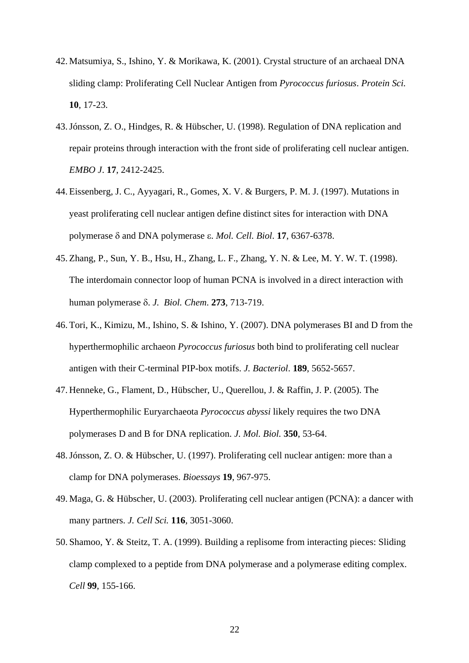- 42. Matsumiya, S., Ishino, Y. & Morikawa, K. (2001). Crystal structure of an archaeal DNA sliding clamp: Proliferating Cell Nuclear Antigen from *Pyrococcus furiosus*. *Protein Sci.* **10**, 17-23.
- 43. Jónsson, Z. O., Hindges, R. & Hübscher, U. (1998). Regulation of DNA replication and repair proteins through interaction with the front side of proliferating cell nuclear antigen. *EMBO J*. **17**, 2412-2425.
- 44. Eissenberg, J. C., Ayyagari, R., Gomes, X. V. & Burgers, P. M. J. (1997). Mutations in yeast proliferating cell nuclear antigen define distinct sites for interaction with DNA polymerase δ and DNA polymerase ε. *Mol. Cell. Biol*. **17**, 6367-6378.
- 45. Zhang, P., Sun, Y. B., Hsu, H., Zhang, L. F., Zhang, Y. N. & Lee, M. Y. W. T. (1998). The interdomain connector loop of human PCNA is involved in a direct interaction with human polymerase δ. *J. Biol. Chem*. **273**, 713-719.
- 46. Tori, K., Kimizu, M., Ishino, S. & Ishino, Y. (2007). DNA polymerases BI and D from the hyperthermophilic archaeon *Pyrococcus furiosus* both bind to proliferating cell nuclear antigen with their C-terminal PIP-box motifs. *J. Bacteriol*. **189**, 5652-5657.
- 47. Henneke, G., Flament, D., Hübscher, U., Querellou, J. & Raffin, J. P. (2005). The Hyperthermophilic Euryarchaeota *Pyrococcus abyssi* likely requires the two DNA polymerases D and B for DNA replication. *J. Mol. Biol.* **350**, 53-64.
- 48. Jónsson, Z. O. & Hübscher, U. (1997). Proliferating cell nuclear antigen: more than a clamp for DNA polymerases. *Bioessays* **19**, 967-975.
- 49. Maga, G. & Hübscher, U. (2003). Proliferating cell nuclear antigen (PCNA): a dancer with many partners. *J. Cell Sci.* **116**, 3051-3060.
- 50. Shamoo, Y. & Steitz, T. A. (1999). Building a replisome from interacting pieces: Sliding clamp complexed to a peptide from DNA polymerase and a polymerase editing complex. *Cell* **99**, 155-166.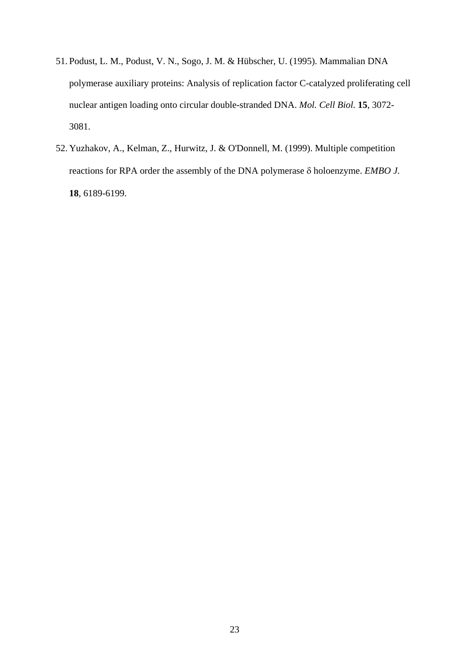- 51. Podust, L. M., Podust, V. N., Sogo, J. M. & Hübscher, U. (1995). Mammalian DNA polymerase auxiliary proteins: Analysis of replication factor C-catalyzed proliferating cell nuclear antigen loading onto circular double-stranded DNA. *Mol. Cell Biol.* **15**, 3072- 3081.
- 52. Yuzhakov, A., Kelman, Z., Hurwitz, J. & O'Donnell, M. (1999). Multiple competition reactions for RPA order the assembly of the DNA polymerase δ holoenzyme. *EMBO J.* **18**, 6189-6199.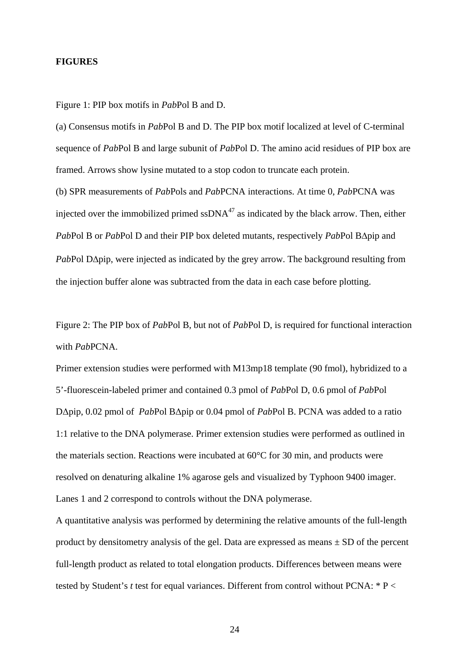#### **FIGURES**

Figure 1: PIP box motifs in *Pab*Pol B and D.

(a) Consensus motifs in *Pab*Pol B and D. The PIP box motif localized at level of C-terminal sequence of *Pab*Pol B and large subunit of *Pab*Pol D. The amino acid residues of PIP box are framed. Arrows show lysine mutated to a stop codon to truncate each protein.

(b) SPR measurements of *Pab*Pols and *Pab*PCNA interactions. At time 0, *Pab*PCNA was injected over the immobilized primed  $\text{ssDNA}^{47}$  as indicated by the black arrow. Then, either *Pab*Pol B or *Pab*Pol D and their PIP box deleted mutants, respectively *Pab*Pol B∆pip and *PabPol D∆pip, were injected as indicated by the grey arrow. The background resulting from* the injection buffer alone was subtracted from the data in each case before plotting.

Figure 2: The PIP box of *Pab*Pol B, but not of *Pab*Pol D, is required for functional interaction with *Pab*PCNA.

Primer extension studies were performed with M13mp18 template (90 fmol), hybridized to a 5'-fluorescein-labeled primer and contained 0.3 pmol of *Pab*Pol D, 0.6 pmol of *Pab*Pol D∆pip, 0.02 pmol of *Pab*Pol B∆pip or 0.04 pmol of *Pab*Pol B. PCNA was added to a ratio 1:1 relative to the DNA polymerase. Primer extension studies were performed as outlined in the materials section. Reactions were incubated at 60°C for 30 min, and products were resolved on denaturing alkaline 1% agarose gels and visualized by Typhoon 9400 imager. Lanes 1 and 2 correspond to controls without the DNA polymerase.

A quantitative analysis was performed by determining the relative amounts of the full-length product by densitometry analysis of the gel. Data are expressed as means  $\pm$  SD of the percent full-length product as related to total elongation products. Differences between means were tested by Student's *t* test for equal variances. Different from control without PCNA: \* P <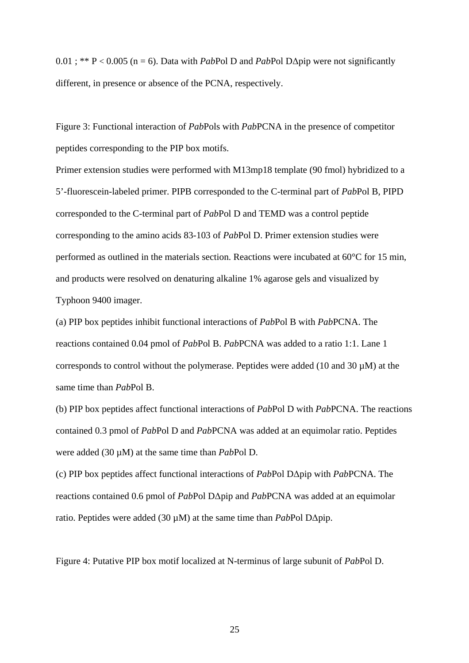0.01 ; \*\* P < 0.005 (n = 6). Data with *Pab*Pol D and *Pab*Pol D∆pip were not significantly different, in presence or absence of the PCNA, respectively.

Figure 3: Functional interaction of *Pab*Pols with *Pab*PCNA in the presence of competitor peptides corresponding to the PIP box motifs.

Primer extension studies were performed with M13mp18 template (90 fmol) hybridized to a 5'-fluorescein-labeled primer. PIPB corresponded to the C-terminal part of *Pab*Pol B, PIPD corresponded to the C-terminal part of *Pab*Pol D and TEMD was a control peptide corresponding to the amino acids 83-103 of *Pab*Pol D. Primer extension studies were performed as outlined in the materials section. Reactions were incubated at 60°C for 15 min, and products were resolved on denaturing alkaline 1% agarose gels and visualized by Typhoon 9400 imager.

(a) PIP box peptides inhibit functional interactions of *Pab*Pol B with *Pab*PCNA. The reactions contained 0.04 pmol of *Pab*Pol B. *Pab*PCNA was added to a ratio 1:1. Lane 1 corresponds to control without the polymerase. Peptides were added (10 and 30 µM) at the same time than *Pab*Pol B.

(b) PIP box peptides affect functional interactions of *Pab*Pol D with *Pab*PCNA. The reactions contained 0.3 pmol of *Pab*Pol D and *Pab*PCNA was added at an equimolar ratio. Peptides were added (30 µM) at the same time than *Pab*Pol D.

(c) PIP box peptides affect functional interactions of *Pab*Pol D∆pip with *Pab*PCNA. The reactions contained 0.6 pmol of *Pab*Pol D∆pip and *Pab*PCNA was added at an equimolar ratio. Peptides were added (30 µM) at the same time than *Pab*Pol D∆pip.

Figure 4: Putative PIP box motif localized at N-terminus of large subunit of *Pab*Pol D.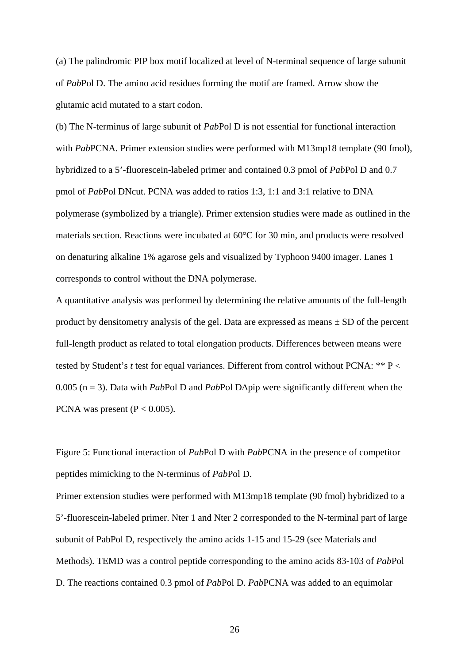(a) The palindromic PIP box motif localized at level of N-terminal sequence of large subunit of *Pab*Pol D. The amino acid residues forming the motif are framed. Arrow show the glutamic acid mutated to a start codon.

(b) The N-terminus of large subunit of *Pab*Pol D is not essential for functional interaction with *Pab*PCNA. Primer extension studies were performed with M13mp18 template (90 fmol), hybridized to a 5'-fluorescein-labeled primer and contained 0.3 pmol of *Pab*Pol D and 0.7 pmol of *Pab*Pol DNcut. PCNA was added to ratios 1:3, 1:1 and 3:1 relative to DNA polymerase (symbolized by a triangle). Primer extension studies were made as outlined in the materials section. Reactions were incubated at 60°C for 30 min, and products were resolved on denaturing alkaline 1% agarose gels and visualized by Typhoon 9400 imager. Lanes 1 corresponds to control without the DNA polymerase.

A quantitative analysis was performed by determining the relative amounts of the full-length product by densitometry analysis of the gel. Data are expressed as means  $\pm$  SD of the percent full-length product as related to total elongation products. Differences between means were tested by Student's *t* test for equal variances. Different from control without PCNA: \*\* P < 0.005 (n = 3). Data with *Pab*Pol D and *Pab*Pol D∆pip were significantly different when the PCNA was present ( $P < 0.005$ ).

Figure 5: Functional interaction of *Pab*Pol D with *Pab*PCNA in the presence of competitor peptides mimicking to the N-terminus of *Pab*Pol D.

Primer extension studies were performed with M13mp18 template (90 fmol) hybridized to a 5'-fluorescein-labeled primer. Nter 1 and Nter 2 corresponded to the N-terminal part of large subunit of PabPol D, respectively the amino acids 1-15 and 15-29 (see Materials and Methods). TEMD was a control peptide corresponding to the amino acids 83-103 of *Pab*Pol D. The reactions contained 0.3 pmol of *Pab*Pol D. *Pab*PCNA was added to an equimolar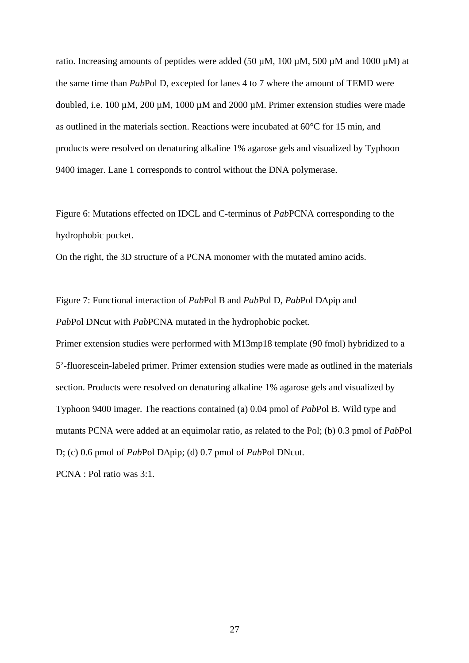ratio. Increasing amounts of peptides were added (50  $\mu$ M, 100  $\mu$ M, 500  $\mu$ M and 1000  $\mu$ M) at the same time than *Pab*Pol D, excepted for lanes 4 to 7 where the amount of TEMD were doubled, i.e. 100  $\mu$ M, 200  $\mu$ M, 1000  $\mu$ M and 2000  $\mu$ M. Primer extension studies were made as outlined in the materials section. Reactions were incubated at 60°C for 15 min, and products were resolved on denaturing alkaline 1% agarose gels and visualized by Typhoon 9400 imager. Lane 1 corresponds to control without the DNA polymerase.

Figure 6: Mutations effected on IDCL and C-terminus of *Pab*PCNA corresponding to the hydrophobic pocket.

On the right, the 3D structure of a PCNA monomer with the mutated amino acids.

Figure 7: Functional interaction of *Pab*Pol B and *Pab*Pol D, *Pab*Pol D∆pip and *Pab*Pol DNcut with *Pab*PCNA mutated in the hydrophobic pocket.

Primer extension studies were performed with M13mp18 template (90 fmol) hybridized to a 5'-fluorescein-labeled primer. Primer extension studies were made as outlined in the materials section. Products were resolved on denaturing alkaline 1% agarose gels and visualized by Typhoon 9400 imager. The reactions contained (a) 0.04 pmol of *Pab*Pol B. Wild type and mutants PCNA were added at an equimolar ratio, as related to the Pol; (b) 0.3 pmol of *Pab*Pol D; (c) 0.6 pmol of *Pab*Pol D∆pip; (d) 0.7 pmol of *Pab*Pol DNcut.

PCNA : Pol ratio was 3:1.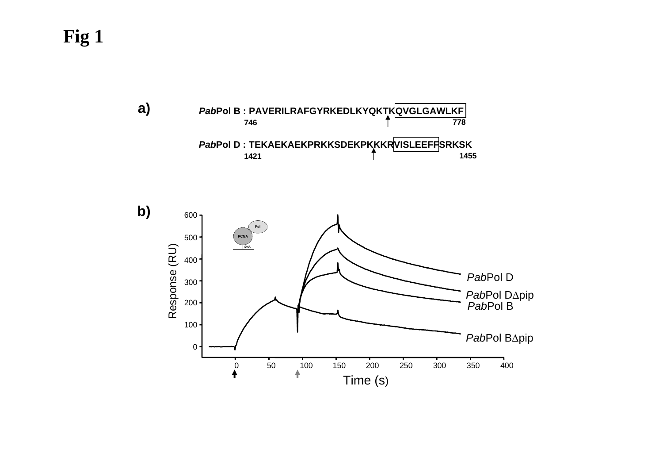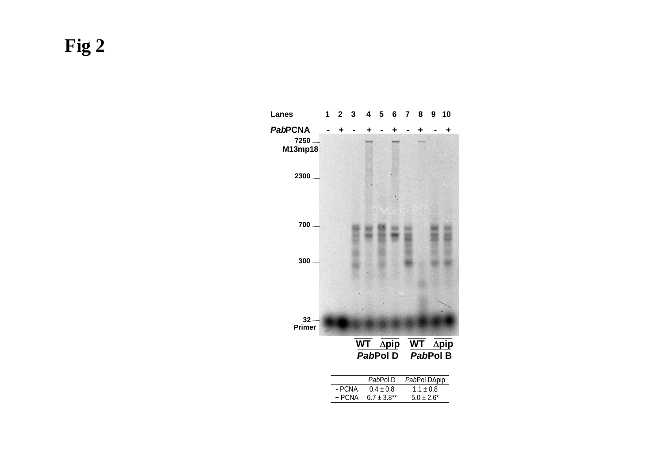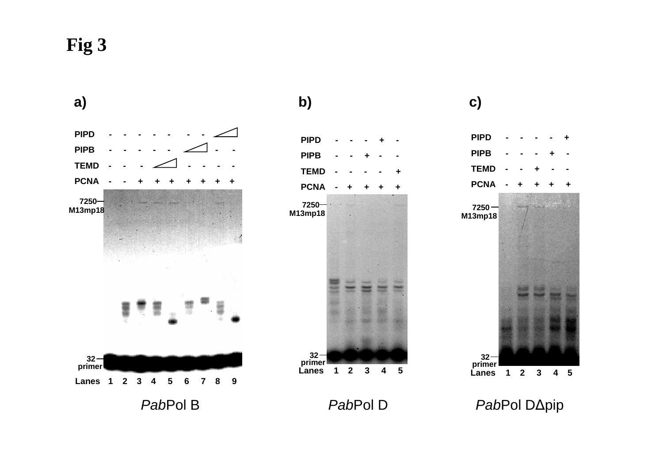

# **a) b) c)**





*Pab*Pol D *Pab*Pol D∆pip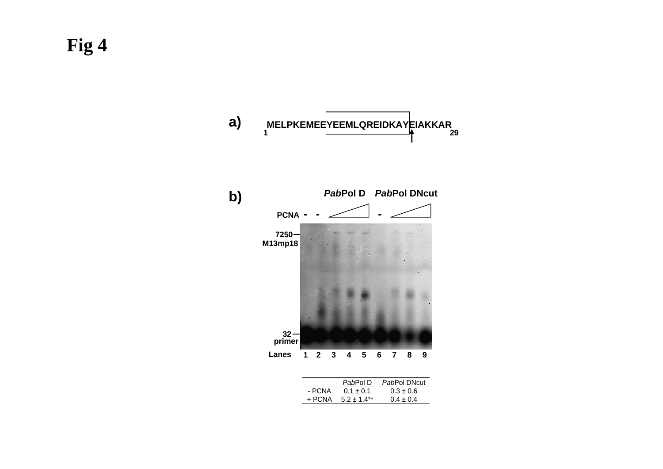

|        | PabPol D      | PabPol DNcut  |
|--------|---------------|---------------|
| - PCNA | $0.1 \pm 0.1$ | $0.3 \pm 0.6$ |
| + PCNA | $5.2 + 1.4**$ | $0.4 \pm 0.4$ |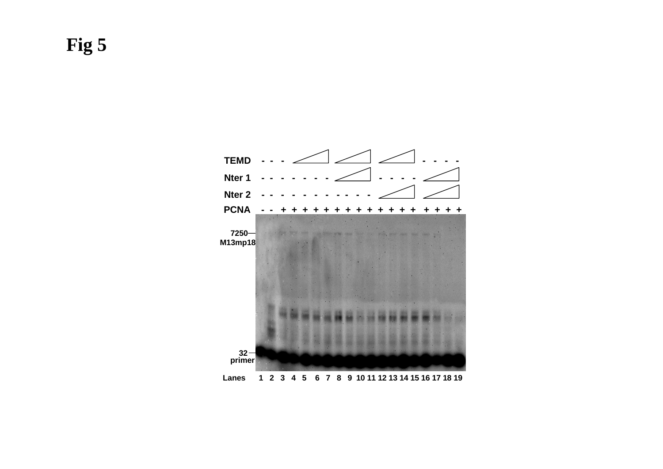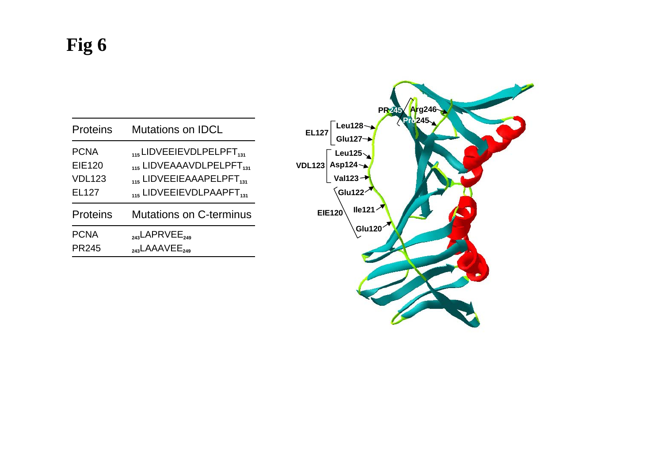| <b>Proteins</b> | <b>Mutations on IDCL</b>             |  |
|-----------------|--------------------------------------|--|
| <b>PCNA</b>     | $_{115}$ LIDVEEIEVDLPELPFT $_{131}$  |  |
| <b>EIE120</b>   | 115 LIDVEAAAVDLPELPFT <sub>131</sub> |  |
| <b>VDL123</b>   | 115 LIDVEEIEAAAPELPFT <sub>131</sub> |  |
| EL127           | 115 LIDVEEIEVDLPAAPFT <sub>131</sub> |  |
| <b>Proteins</b> | <b>Mutations on C-terminus</b>       |  |
| <b>PCNA</b>     | $_{243}$ LAPRVEE <sub>249</sub>      |  |
| <b>PR245</b>    | $_{243}$ LAAAVEE <sub>249</sub>      |  |